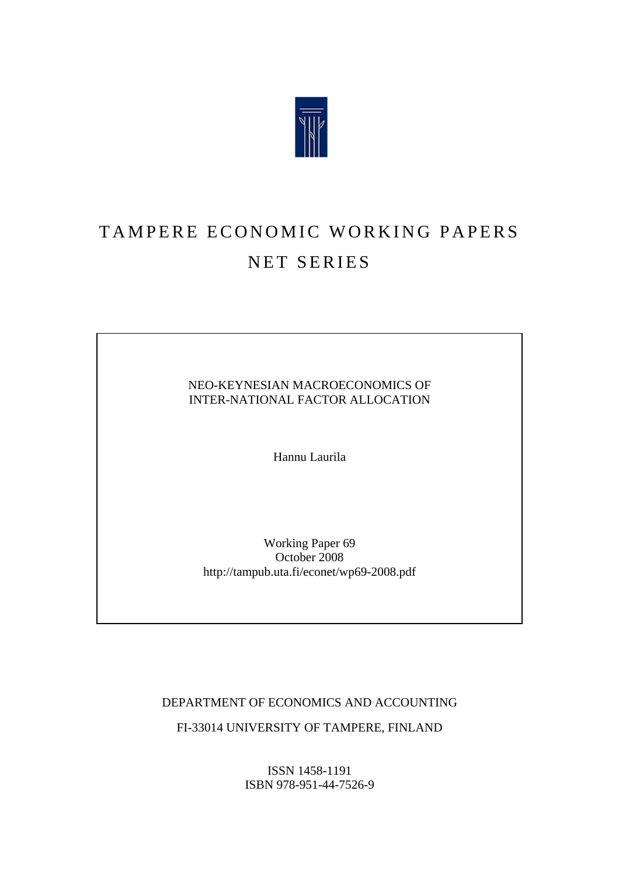

# TAMPERE ECONOMIC WORKING PAPERS NET SERIES

## NEO-KEYNESIAN MACROECONOMICS OF INTER-NATIONAL FACTOR ALLOCATION

Hannu Laurila

Working Paper 69 October 2008 http://tampub.uta.fi/econet/wp69-2008.pdf

DEPARTMENT OF ECONOMICS AND ACCOUNTING

FI-33014 UNIVERSITY OF TAMPERE, FINLAND

ISSN 1458-1191 ISBN 978-951-44-7526-9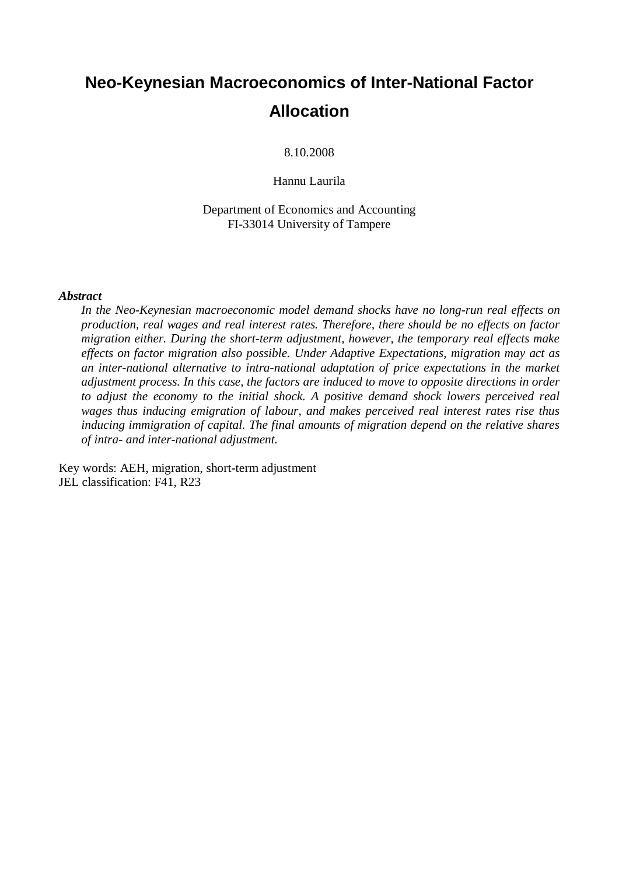## **Neo-Keynesian Macroeconomics of Inter-National Factor Allocation**

8.10.2008

Hannu Laurila

Department of Economics and Accounting FI-33014 University of Tampere

#### *Abstract*

*In the Neo-Keynesian macroeconomic model demand shocks have no long-run real effects on production, real wages and real interest rates. Therefore, there should be no effects on factor migration either. During the short-term adjustment, however, the temporary real effects make effects on factor migration also possible. Under Adaptive Expectations, migration may act as an inter-national alternative to intra-national adaptation of price expectations in the market adjustment process. In this case, the factors are induced to move to opposite directions in order to adjust the economy to the initial shock. A positive demand shock lowers perceived real wages thus inducing emigration of labour, and makes perceived real interest rates rise thus inducing immigration of capital. The final amounts of migration depend on the relative shares of intra- and inter-national adjustment.*

Key words: AEH, migration, short-term adjustment JEL classification: F41, R23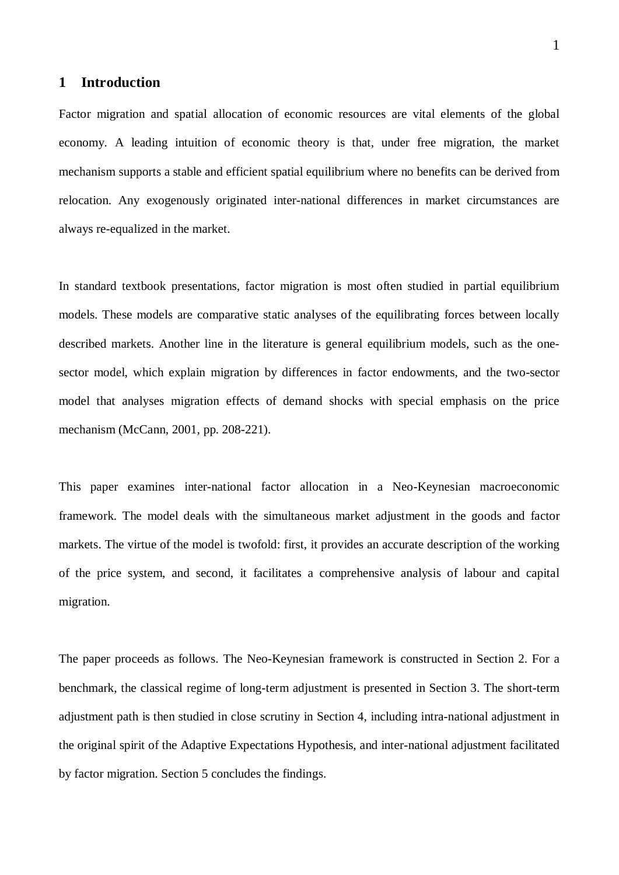## **1 Introduction**

Factor migration and spatial allocation of economic resources are vital elements of the global economy. A leading intuition of economic theory is that, under free migration, the market mechanism supports a stable and efficient spatial equilibrium where no benefits can be derived from relocation. Any exogenously originated inter-national differences in market circumstances are always re-equalized in the market.

In standard textbook presentations, factor migration is most often studied in partial equilibrium models. These models are comparative static analyses of the equilibrating forces between locally described markets. Another line in the literature is general equilibrium models, such as the onesector model, which explain migration by differences in factor endowments, and the two-sector model that analyses migration effects of demand shocks with special emphasis on the price mechanism (McCann, 2001, pp. 208-221).

This paper examines inter-national factor allocation in a Neo-Keynesian macroeconomic framework. The model deals with the simultaneous market adjustment in the goods and factor markets. The virtue of the model is twofold: first, it provides an accurate description of the working of the price system, and second, it facilitates a comprehensive analysis of labour and capital migration.

The paper proceeds as follows. The Neo-Keynesian framework is constructed in Section 2. For a benchmark, the classical regime of long-term adjustment is presented in Section 3. The short-term adjustment path is then studied in close scrutiny in Section 4, including intra-national adjustment in the original spirit of the Adaptive Expectations Hypothesis, and inter-national adjustment facilitated by factor migration. Section 5 concludes the findings.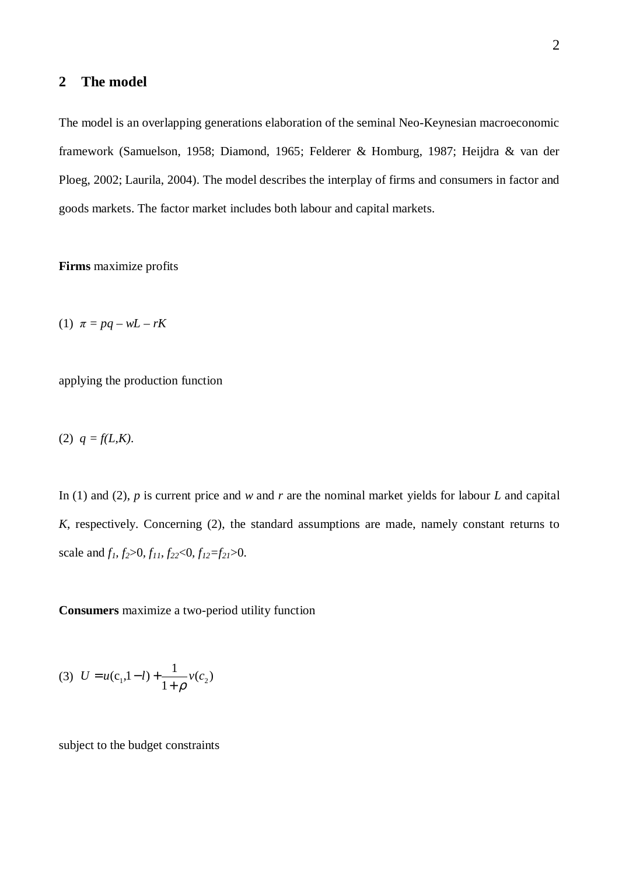## **2 The model**

The model is an overlapping generations elaboration of the seminal Neo-Keynesian macroeconomic framework (Samuelson, 1958; Diamond, 1965; Felderer & Homburg, 1987; Heijdra & van der Ploeg, 2002; Laurila, 2004). The model describes the interplay of firms and consumers in factor and goods markets. The factor market includes both labour and capital markets.

**Firms** maximize profits

(1)  $\pi = pq - wL - rK$ 

applying the production function

(2)  $q = f(L,K)$ .

In (1) and (2), *p* is current price and *w* and *r* are the nominal market yields for labour *L* and capital *K*, respectively. Concerning (2), the standard assumptions are made, namely constant returns to scale and  $f_1, f_2 > 0, f_{11}, f_{22} < 0, f_{12} = f_{21} > 0$ .

**Consumers** maximize a two-period utility function

(3) 
$$
U = u(c_1, 1-l) + \frac{1}{1+\rho}v(c_2)
$$

subject to the budget constraints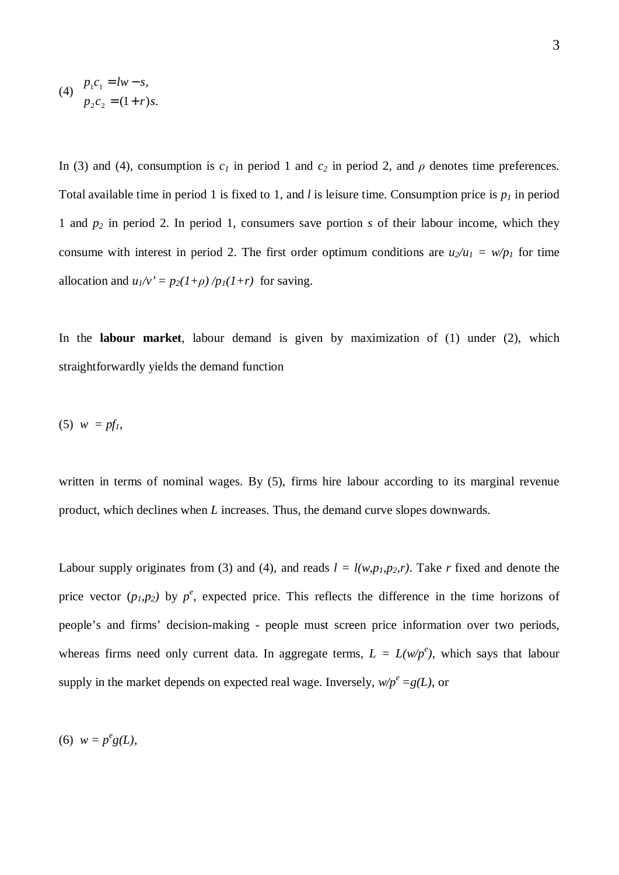(4) 
$$
p_1c_1 = lw - s,
$$

$$
p_2c_2 = (1+r)s.
$$

In (3) and (4), consumption is  $c_I$  in period 1 and  $c_2$  in period 2, and  $\rho$  denotes time preferences. Total available time in period 1 is fixed to 1, and *l* is leisure time. Consumption price is *p1* in period 1 and *p2* in period 2. In period 1, consumers save portion *s* of their labour income, which they consume with interest in period 2. The first order optimum conditions are  $u_2/u_1 = w/p_1$  for time allocation and  $u_1/v' = p_2(1+\rho)/p_1(1+r)$  for saving.

In the **labour market**, labour demand is given by maximization of (1) under (2), which straightforwardly yields the demand function

$$
(5) w = pfI,
$$

written in terms of nominal wages. By  $(5)$ , firms hire labour according to its marginal revenue product, which declines when *L* increases. Thus, the demand curve slopes downwards.

Labour supply originates from (3) and (4), and reads  $l = l(w, p_1, p_2, r)$ . Take *r* fixed and denote the price vector  $(p_1, p_2)$  by  $p^e$ , expected price. This reflects the difference in the time horizons of people's and firms' decision-making - people must screen price information over two periods, whereas firms need only current data. In aggregate terms,  $L = L(w/p^e)$ , which says that labour supply in the market depends on expected real wage. Inversely,  $w/p^e = g(L)$ , or

(6)  $w = p^e g(L)$ ,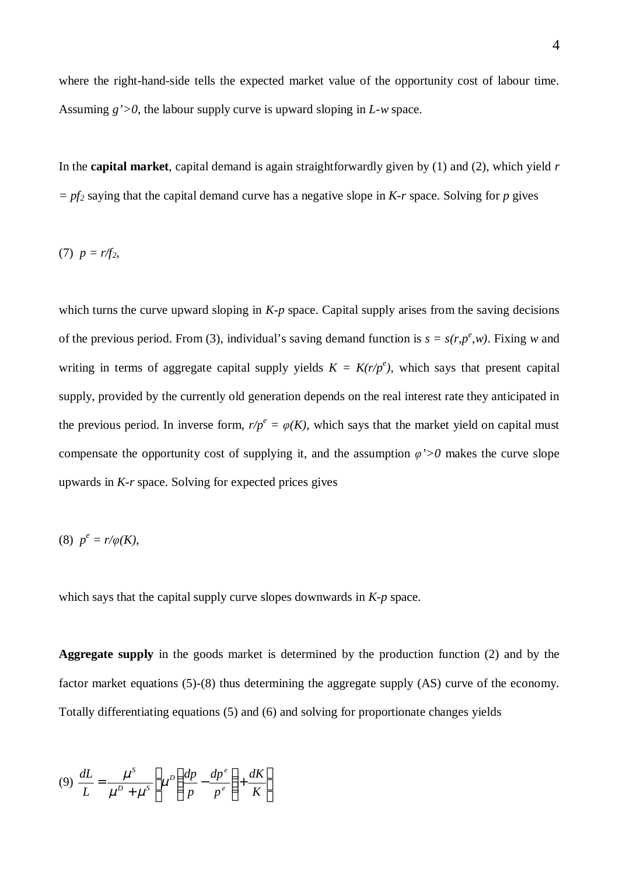where the right-hand-side tells the expected market value of the opportunity cost of labour time. Assuming *g'>0*, the labour supply curve is upward sloping in *L-w* space.

In the **capital market**, capital demand is again straightforwardly given by (1) and (2), which yield *r*  $= p f_2$  saying that the capital demand curve has a negative slope in *K-r* space. Solving for *p* gives

(7) 
$$
p = r/f_2
$$
,

which turns the curve upward sloping in *K-p* space. Capital supply arises from the saving decisions of the previous period. From (3), individual's saving demand function is  $s = s(r, p^e, w)$ . Fixing *w* and writing in terms of aggregate capital supply yields  $K = K(r/p^e)$ , which says that present capital supply, provided by the currently old generation depends on the real interest rate they anticipated in the previous period. In inverse form,  $r/p^e = \varphi(K)$ , which says that the market yield on capital must compensate the opportunity cost of supplying it, and the assumption  $\varphi' > 0$  makes the curve slope upwards in *K-r* space. Solving for expected prices gives

$$
(8) \ \ p^e = r/\varphi(K),
$$

which says that the capital supply curve slopes downwards in *K-p* space.

**Aggregate supply** in the goods market is determined by the production function (2) and by the factor market equations (5)-(8) thus determining the aggregate supply (AS) curve of the economy. Totally differentiating equations (5) and (6) and solving for proportionate changes yields

$$
(9) \frac{dL}{L} = \frac{\mu^S}{\mu^D + \mu^S} \left[ \mu^D \left( \frac{dp}{p} - \frac{dp^e}{p^e} \right) + \frac{dK}{K} \right]
$$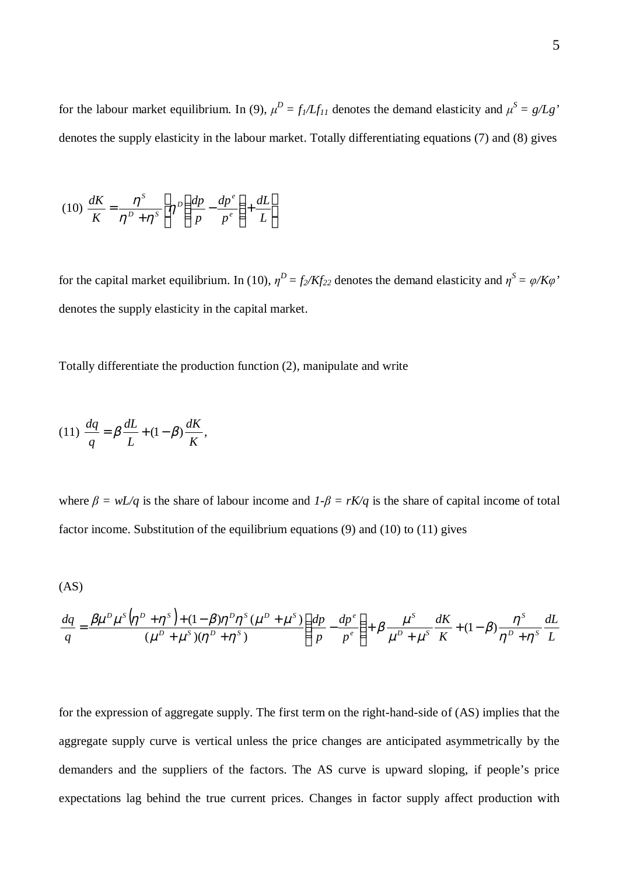for the labour market equilibrium. In (9),  $\mu^D = f_I / L f_{II}$  denotes the demand elasticity and  $\mu^S = g / L g'$ denotes the supply elasticity in the labour market. Totally differentiating equations (7) and (8) gives

$$
(10) \frac{dK}{K} = \frac{\eta^s}{\eta^p + \eta^s} \left[ \eta^p \left( \frac{dp}{p} - \frac{dp^e}{p^e} \right) + \frac{dL}{L} \right]
$$

for the capital market equilibrium. In (10),  $\eta^D = f_2/Kf_{22}$  denotes the demand elasticity and  $\eta^S = \varphi/K\varphi$ denotes the supply elasticity in the capital market.

Totally differentiate the production function (2), manipulate and write

$$
(11)\ \frac{dq}{q} = \beta\frac{dL}{L} + (1-\beta)\frac{dK}{K},
$$

where  $\beta = wL/q$  is the share of labour income and  $1-\beta = rK/q$  is the share of capital income of total factor income. Substitution of the equilibrium equations (9) and (10) to (11) gives

$$
(AS)
$$

$$
\frac{dq}{q} = \frac{\beta \mu^D \mu^S \left(\eta^D + \eta^S\right) + (1 - \beta)\eta^D \eta^S \left(\mu^D + \mu^S\right)}{\left(\mu^D + \mu^S\right)\left(\eta^D + \eta^S\right)} \left(\frac{dp}{p} - \frac{dp^e}{p^e}\right) + \beta \frac{\mu^S}{\mu^D + \mu^S} \frac{dK}{K} + (1 - \beta) \frac{\eta^S}{\eta^D + \eta^S} \frac{dL}{L}
$$

for the expression of aggregate supply. The first term on the right-hand-side of (AS) implies that the aggregate supply curve is vertical unless the price changes are anticipated asymmetrically by the demanders and the suppliers of the factors. The AS curve is upward sloping, if people's price expectations lag behind the true current prices. Changes in factor supply affect production with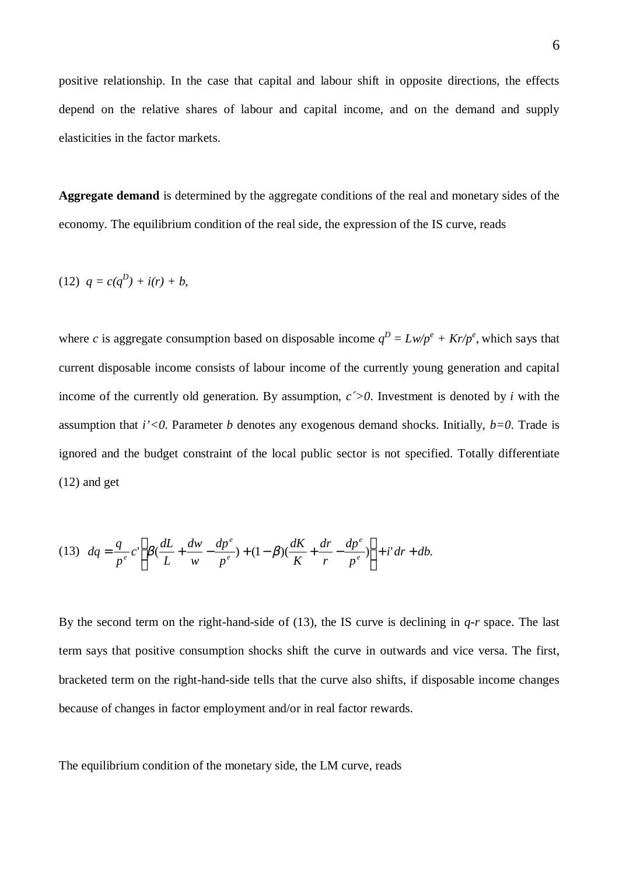positive relationship. In the case that capital and labour shift in opposite directions, the effects depend on the relative shares of labour and capital income, and on the demand and supply elasticities in the factor markets.

**Aggregate demand** is determined by the aggregate conditions of the real and monetary sides of the economy. The equilibrium condition of the real side, the expression of the IS curve, reads

(12) 
$$
q = c(q^D) + i(r) + b
$$
,

where *c* is aggregate consumption based on disposable income  $q^D = Lw/p^e + Kr/p^e$ , which says that current disposable income consists of labour income of the currently young generation and capital income of the currently old generation. By assumption,  $c > 0$ . Investment is denoted by *i* with the assumption that *i'<0*. Parameter *b* denotes any exogenous demand shocks. Initially, *b=0*. Trade is ignored and the budget constraint of the local public sector is not specified. Totally differentiate (12) and get

(13) 
$$
dq = \frac{q}{p^e} c' \left[ \beta \left( \frac{dL}{L} + \frac{dw}{w} - \frac{dp^e}{p^e} \right) + (1 - \beta) \left( \frac{dK}{K} + \frac{dr}{r} - \frac{dp^e}{p^e} \right) \right] + i' dr + db.
$$

By the second term on the right-hand-side of (13), the IS curve is declining in *q-r* space. The last term says that positive consumption shocks shift the curve in outwards and vice versa. The first, bracketed term on the right-hand-side tells that the curve also shifts, if disposable income changes because of changes in factor employment and/or in real factor rewards.

The equilibrium condition of the monetary side, the LM curve, reads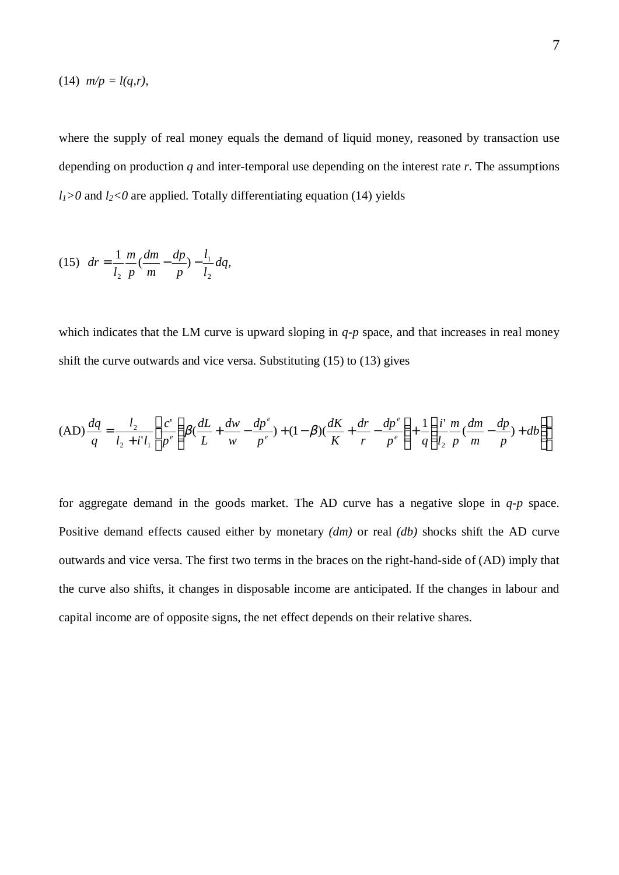$$
(14) \ \ m/p = l(q,r),
$$

where the supply of real money equals the demand of liquid money, reasoned by transaction use depending on production *q* and inter-temporal use depending on the interest rate *r*. The assumptions  $l_1$  > 0 and  $l_2$  < 0 are applied. Totally differentiating equation (14) yields

(15) 
$$
dr = \frac{1}{l_2} \frac{m}{p} \left( \frac{dm}{m} - \frac{dp}{p} \right) - \frac{l_1}{l_2} dq,
$$

which indicates that the LM curve is upward sloping in *q-p* space, and that increases in real money shift the curve outwards and vice versa. Substituting (15) to (13) gives

$$
(AD)\frac{dq}{q} = \frac{l_2}{l_2 + i'l_1} \left[ \frac{c'}{p^e} \left( \beta \left( \frac{dL}{L} + \frac{dw}{w} - \frac{dp^e}{p^e} \right) + (1 - \beta) \left( \frac{dK}{K} + \frac{dr}{r} - \frac{dp^e}{p^e} \right) + \frac{1}{q} \left( \frac{i'}{l_2} \frac{m}{p} \left( \frac{dm}{m} - \frac{dp}{p} \right) + db \right) \right]
$$

for aggregate demand in the goods market. The AD curve has a negative slope in *q-p* space. Positive demand effects caused either by monetary *(dm)* or real *(db)* shocks shift the AD curve outwards and vice versa. The first two terms in the braces on the right-hand-side of (AD) imply that the curve also shifts, it changes in disposable income are anticipated. If the changes in labour and capital income are of opposite signs, the net effect depends on their relative shares.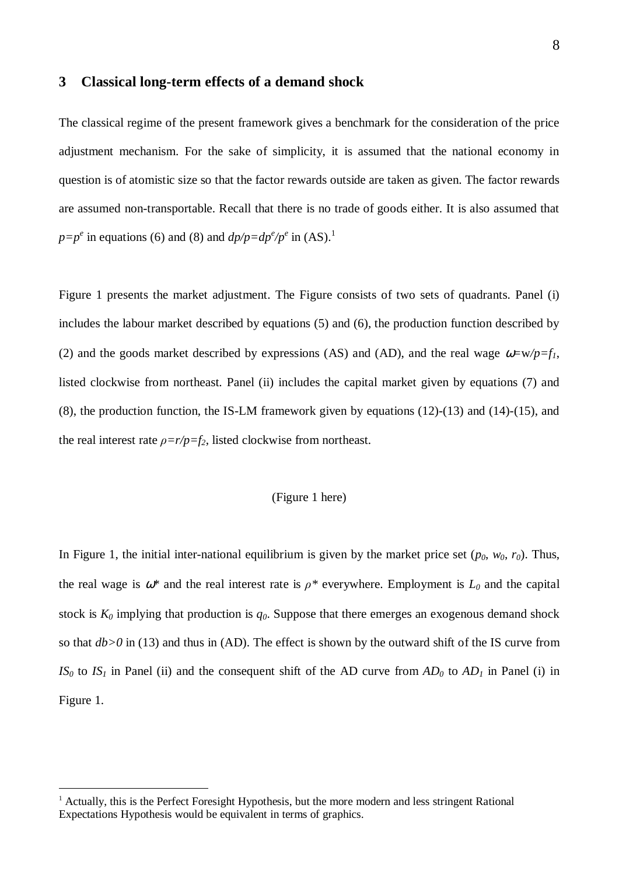### **3 Classical long-term effects of a demand shock**

The classical regime of the present framework gives a benchmark for the consideration of the price adjustment mechanism. For the sake of simplicity, it is assumed that the national economy in question is of atomistic size so that the factor rewards outside are taken as given. The factor rewards are assumed non-transportable. Recall that there is no trade of goods either. It is also assumed that  $p=p^e$  in equations (6) and (8) and  $dp/p=dp^e/p^e$  in (AS).<sup>1</sup>

Figure 1 presents the market adjustment. The Figure consists of two sets of quadrants. Panel (i) includes the labour market described by equations (5) and (6), the production function described by (2) and the goods market described by expressions (AS) and (AD), and the real wage  $\omega = w/p = f_l$ , listed clockwise from northeast. Panel (ii) includes the capital market given by equations (7) and (8), the production function, the IS-LM framework given by equations (12)-(13) and (14)-(15), and the real interest rate  $\rho = r/p = f_2$ , listed clockwise from northeast.

## (Figure 1 here)

In Figure 1, the initial inter-national equilibrium is given by the market price set  $(p_0, w_0, r_0)$ . Thus, the real wage is  $\omega^*$  and the real interest rate is  $\rho^*$  everywhere. Employment is  $L_0$  and the capital stock is  $K_0$  implying that production is  $q_0$ . Suppose that there emerges an exogenous demand shock so that *db>0* in (13) and thus in (AD). The effect is shown by the outward shift of the IS curve from *IS*<sup> $0$ </sup> to *IS*<sup> $1$ </sup> in Panel (ii) and the consequent shift of the AD curve from  $AD$ <sup> $0$ </sup> to  $AD$ <sup> $1$ </sup> in Panel (i) in Figure 1.

<sup>&</sup>lt;sup>1</sup> Actually, this is the Perfect Foresight Hypothesis, but the more modern and less stringent Rational Expectations Hypothesis would be equivalent in terms of graphics.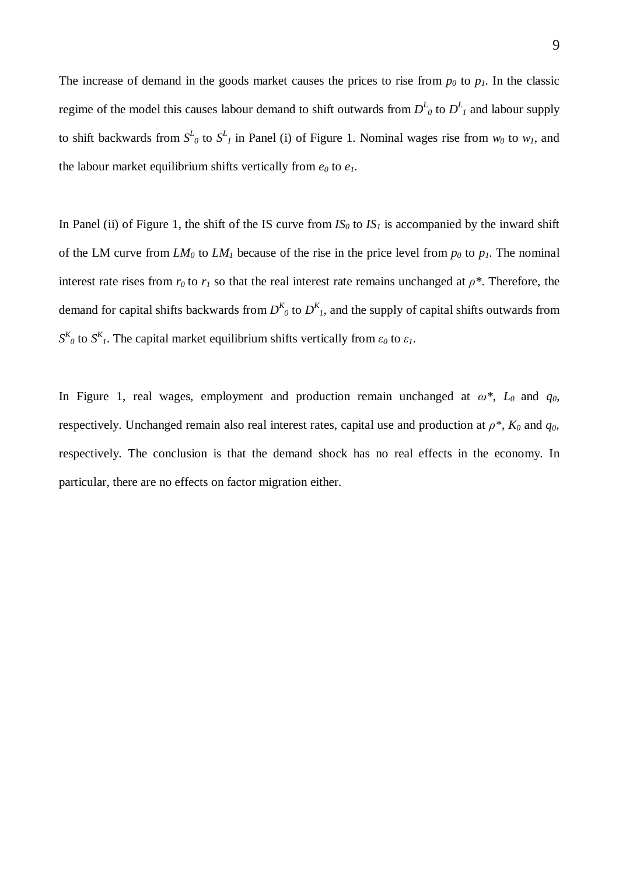The increase of demand in the goods market causes the prices to rise from  $p_0$  to  $p_1$ . In the classic regime of the model this causes labour demand to shift outwards from  $D^L$ <sub>0</sub> to  $D^L$ <sub>I</sub> and labour supply to shift backwards from  $S^L$ <sup>0</sup> to  $S^L$ <sup>1</sup> in Panel (i) of Figure 1. Nominal wages rise from  $w_0$  to  $w_1$ , and the labour market equilibrium shifts vertically from  $e_0$  to  $e_1$ .

In Panel (ii) of Figure 1, the shift of the IS curve from  $IS_0$  to  $IS_1$  is accompanied by the inward shift of the LM curve from  $LM<sub>0</sub>$  to  $LM<sub>1</sub>$  because of the rise in the price level from  $p<sub>0</sub>$  to  $p<sub>1</sub>$ . The nominal interest rate rises from  $r_0$  to  $r_1$  so that the real interest rate remains unchanged at  $\rho^*$ . Therefore, the demand for capital shifts backwards from  $D^{K}_{0}$  to  $D^{K}_{1}$ , and the supply of capital shifts outwards from  $S^{K}_{\theta}$  to  $S^{K}_{\theta}$ . The capital market equilibrium shifts vertically from  $\varepsilon_{0}$  to  $\varepsilon_{1}$ .

In Figure 1, real wages, employment and production remain unchanged at  $\omega^*$ ,  $L_0$  and  $q_0$ , respectively. Unchanged remain also real interest rates, capital use and production at  $\rho^*$ ,  $K_0$  and  $q_0$ , respectively. The conclusion is that the demand shock has no real effects in the economy. In particular, there are no effects on factor migration either.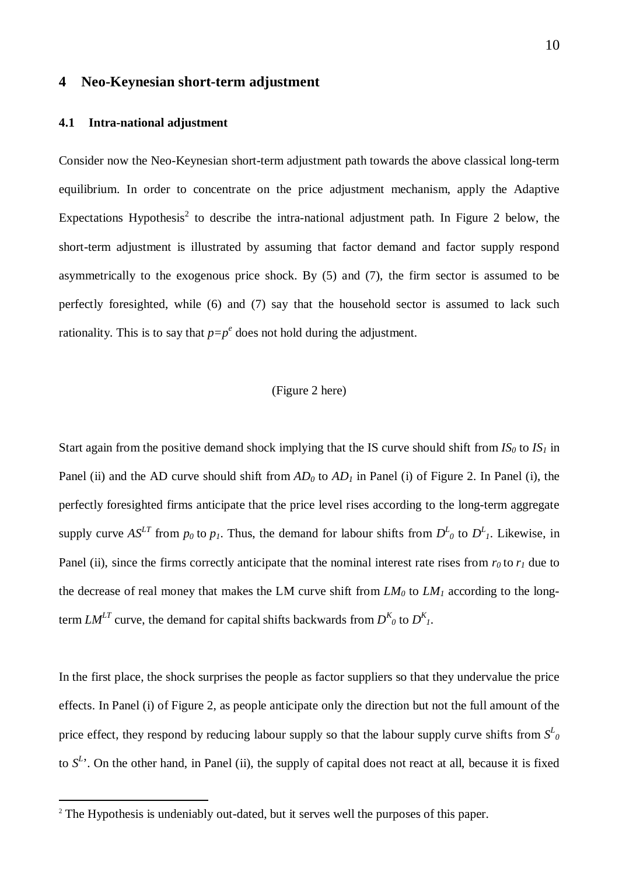## **4 Neo-Keynesian short-term adjustment**

#### **4.1 Intra-national adjustment**

Consider now the Neo-Keynesian short-term adjustment path towards the above classical long-term equilibrium. In order to concentrate on the price adjustment mechanism, apply the Adaptive Expectations Hypothesis<sup>2</sup> to describe the intra-national adjustment path. In Figure 2 below, the short-term adjustment is illustrated by assuming that factor demand and factor supply respond asymmetrically to the exogenous price shock. By (5) and (7), the firm sector is assumed to be perfectly foresighted, while (6) and (7) say that the household sector is assumed to lack such rationality. This is to say that  $p=p^e$  does not hold during the adjustment.

#### (Figure 2 here)

Start again from the positive demand shock implying that the IS curve should shift from  $IS_0$  to  $IS_1$  in Panel (ii) and the AD curve should shift from  $AD_0$  to  $AD_1$  in Panel (i) of Figure 2. In Panel (i), the perfectly foresighted firms anticipate that the price level rises according to the long-term aggregate supply curve  $AS^{LT}$  from  $p_0$  to  $p_1$ . Thus, the demand for labour shifts from  $D^L{}_{0}$  to  $D^L{}_{1}$ . Likewise, in Panel (ii), since the firms correctly anticipate that the nominal interest rate rises from  $r_0$  to  $r_1$  due to the decrease of real money that makes the LM curve shift from  $LM<sub>0</sub>$  to  $LM<sub>1</sub>$  according to the longterm  $LM^{LT}$  curve, the demand for capital shifts backwards from  $D^{K}_{0}$  to  $D^{K}_{1}$ .

In the first place, the shock surprises the people as factor suppliers so that they undervalue the price effects. In Panel (i) of Figure 2, as people anticipate only the direction but not the full amount of the price effect, they respond by reducing labour supply so that the labour supply curve shifts from  $S^L$ to  $S<sup>L</sup>$ . On the other hand, in Panel (ii), the supply of capital does not react at all, because it is fixed

<sup>&</sup>lt;sup>2</sup> The Hypothesis is undeniably out-dated, but it serves well the purposes of this paper.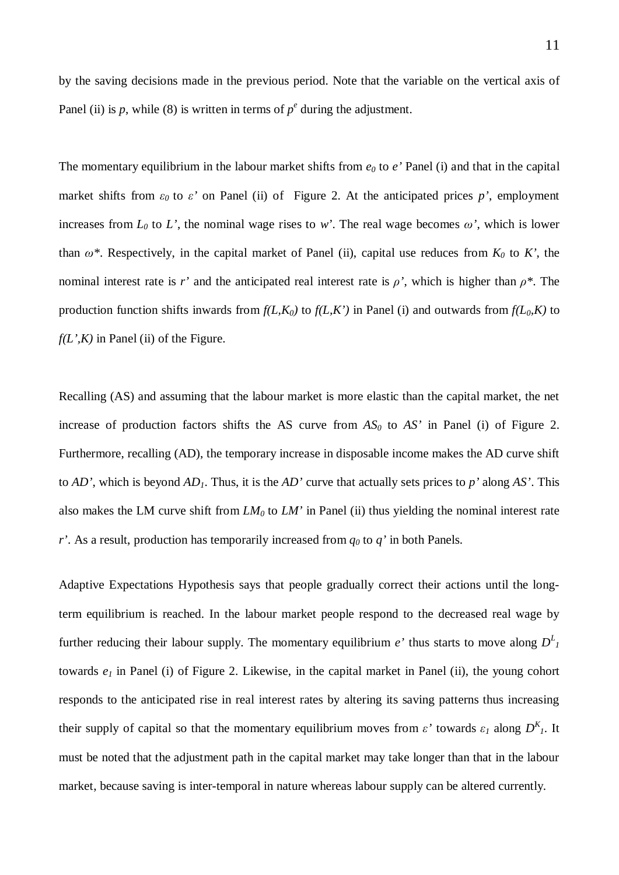The momentary equilibrium in the labour market shifts from *e0* to *e'* Panel (i) and that in the capital market shifts from  $\varepsilon_0$  to  $\varepsilon'$  on Panel (ii) of Figure 2. At the anticipated prices p', employment increases from  $L_0$  to  $L'$ , the nominal wage rises to *w'*. The real wage becomes  $\omega'$ , which is lower than  $\omega^*$ . Respectively, in the capital market of Panel (ii), capital use reduces from  $K_0$  to *K'*, the nominal interest rate is *r'* and the anticipated real interest rate is  $\rho'$ , which is higher than  $\rho^*$ . The production function shifts inwards from  $f(L,K_0)$  to  $f(L,K')$  in Panel (i) and outwards from  $f(L_0,K)$  to  $f(L^{\prime}, K)$  in Panel (ii) of the Figure.

Panel (ii) is  $p$ , while (8) is written in terms of  $p^e$  during the adjustment.

Recalling (AS) and assuming that the labour market is more elastic than the capital market, the net increase of production factors shifts the AS curve from *AS0* to *AS'* in Panel (i) of Figure 2. Furthermore, recalling (AD), the temporary increase in disposable income makes the AD curve shift to *AD'*, which is beyond *AD1*. Thus, it is the *AD'* curve that actually sets prices to *p'* along *AS'*. This also makes the LM curve shift from *LM0* to *LM'* in Panel (ii) thus yielding the nominal interest rate *r'*. As a result, production has temporarily increased from *q0* to *q'* in both Panels.

Adaptive Expectations Hypothesis says that people gradually correct their actions until the longterm equilibrium is reached. In the labour market people respond to the decreased real wage by further reducing their labour supply. The momentary equilibrium  $e'$  thus starts to move along  $D^L$ towards *e1* in Panel (i) of Figure 2. Likewise, in the capital market in Panel (ii), the young cohort responds to the anticipated rise in real interest rates by altering its saving patterns thus increasing their supply of capital so that the momentary equilibrium moves from  $\varepsilon'$  towards  $\varepsilon_1$  along  $D^{K}$ . It must be noted that the adjustment path in the capital market may take longer than that in the labour market, because saving is inter-temporal in nature whereas labour supply can be altered currently.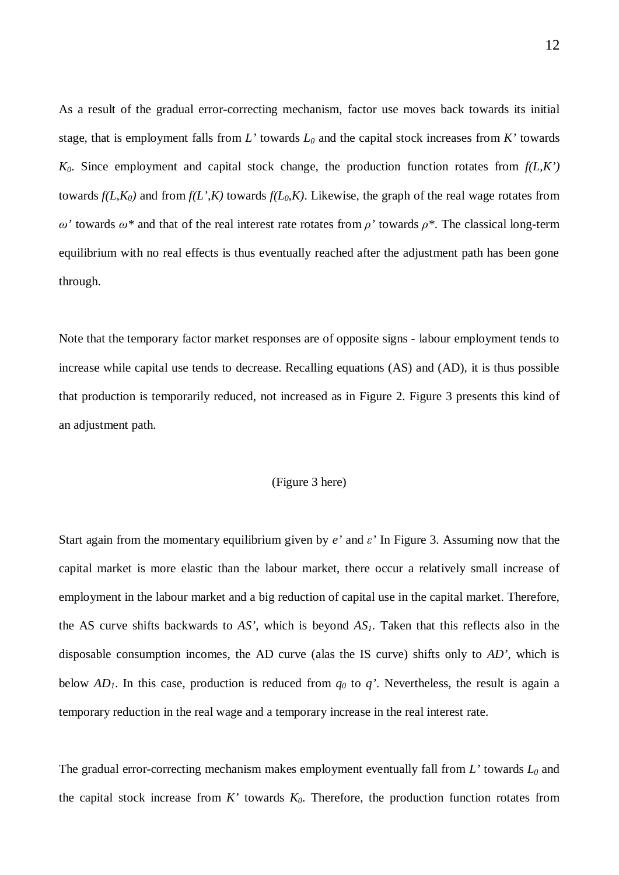As a result of the gradual error-correcting mechanism, factor use moves back towards its initial stage, that is employment falls from  $L'$  towards  $L_0$  and the capital stock increases from  $K'$  towards  $K_0$ . Since employment and capital stock change, the production function rotates from  $f(L,K')$ towards  $f(L,K_0)$  and from  $f(L,K)$  towards  $f(L_0,K)$ . Likewise, the graph of the real wage rotates from *Ȧ'* towards *Ȧ\** and that of the real interest rate rotates from *ȡ'* towards *ȡ\**. The classical long-term equilibrium with no real effects is thus eventually reached after the adjustment path has been gone through.

Note that the temporary factor market responses are of opposite signs - labour employment tends to increase while capital use tends to decrease. Recalling equations (AS) and (AD), it is thus possible that production is temporarily reduced, not increased as in Figure 2. Figure 3 presents this kind of an adjustment path.

#### (Figure 3 here)

Start again from the momentary equilibrium given by  $e'$  and  $\epsilon'$  In Figure 3. Assuming now that the capital market is more elastic than the labour market, there occur a relatively small increase of employment in the labour market and a big reduction of capital use in the capital market. Therefore, the AS curve shifts backwards to *AS'*, which is beyond *AS1*. Taken that this reflects also in the disposable consumption incomes, the AD curve (alas the IS curve) shifts only to *AD'*, which is below  $AD_1$ . In this case, production is reduced from  $q_0$  to  $q'$ . Nevertheless, the result is again a temporary reduction in the real wage and a temporary increase in the real interest rate.

The gradual error-correcting mechanism makes employment eventually fall from  $L'$  towards  $L_0$  and the capital stock increase from *K'* towards *K0*. Therefore, the production function rotates from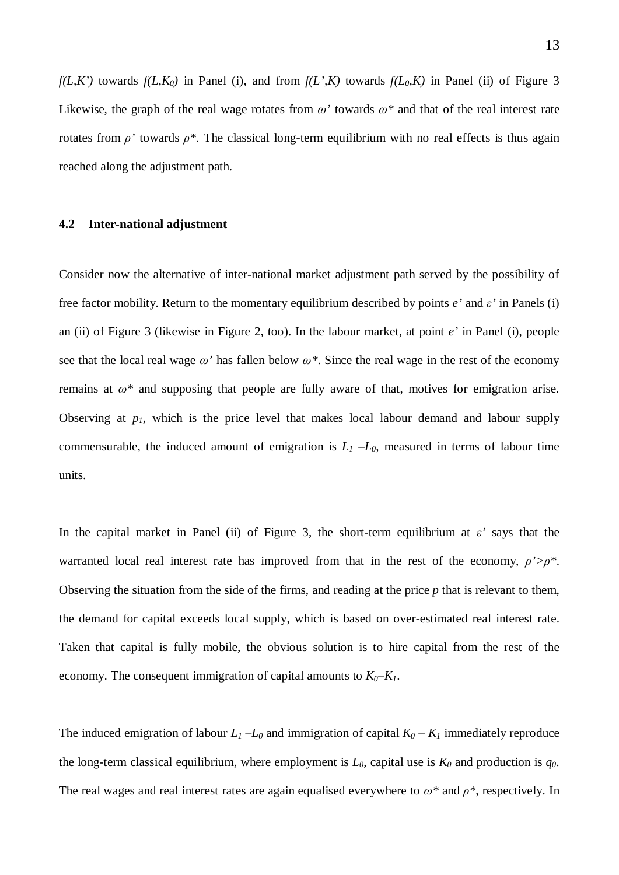*f(L,K')* towards  $f(L,K_0)$  in Panel (i), and from  $f(L,K)$  towards  $f(L_0,K)$  in Panel (ii) of Figure 3 Likewise, the graph of the real wage rotates from  $\omega$ <sup>*'*</sup> towards  $\omega^*$  and that of the real interest rate rotates from  $\rho'$  towards  $\rho^*$ . The classical long-term equilibrium with no real effects is thus again reached along the adjustment path.

#### **4.2 Inter-national adjustment**

Consider now the alternative of inter-national market adjustment path served by the possibility of free factor mobility. Return to the momentary equilibrium described by points  $e'$  and  $\epsilon'$  in Panels (i) an (ii) of Figure 3 (likewise in Figure 2, too). In the labour market, at point *e'* in Panel (i), people see that the local real wage  $\omega'$  has fallen below  $\omega^*$ . Since the real wage in the rest of the economy remains at  $\omega^*$  and supposing that people are fully aware of that, motives for emigration arise. Observing at *p1*, which is the price level that makes local labour demand and labour supply commensurable, the induced amount of emigration is  $L_1 - L_0$ , measured in terms of labour time units.

In the capital market in Panel (ii) of Figure 3, the short-term equilibrium at  $\epsilon$ ' says that the warranted local real interest rate has improved from that in the rest of the economy,  $\rho' > \rho^*$ . Observing the situation from the side of the firms, and reading at the price *p* that is relevant to them, the demand for capital exceeds local supply, which is based on over-estimated real interest rate. Taken that capital is fully mobile, the obvious solution is to hire capital from the rest of the economy. The consequent immigration of capital amounts to  $K_0$ – $K_1$ .

The induced emigration of labour  $L_1 - L_0$  and immigration of capital  $K_0 - K_1$  immediately reproduce the long-term classical equilibrium, where employment is  $L_0$ , capital use is  $K_0$  and production is  $q_0$ . The real wages and real interest rates are again equalised everywhere to  $\omega^*$  and  $\rho^*$ , respectively. In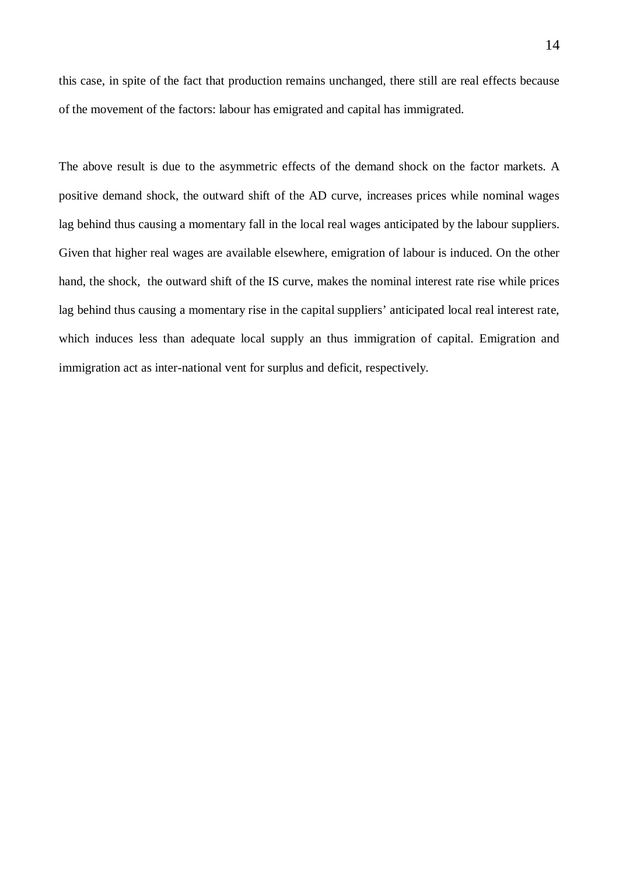this case, in spite of the fact that production remains unchanged, there still are real effects because of the movement of the factors: labour has emigrated and capital has immigrated.

The above result is due to the asymmetric effects of the demand shock on the factor markets. A positive demand shock, the outward shift of the AD curve, increases prices while nominal wages lag behind thus causing a momentary fall in the local real wages anticipated by the labour suppliers. Given that higher real wages are available elsewhere, emigration of labour is induced. On the other hand, the shock, the outward shift of the IS curve, makes the nominal interest rate rise while prices lag behind thus causing a momentary rise in the capital suppliers' anticipated local real interest rate, which induces less than adequate local supply an thus immigration of capital. Emigration and immigration act as inter-national vent for surplus and deficit, respectively.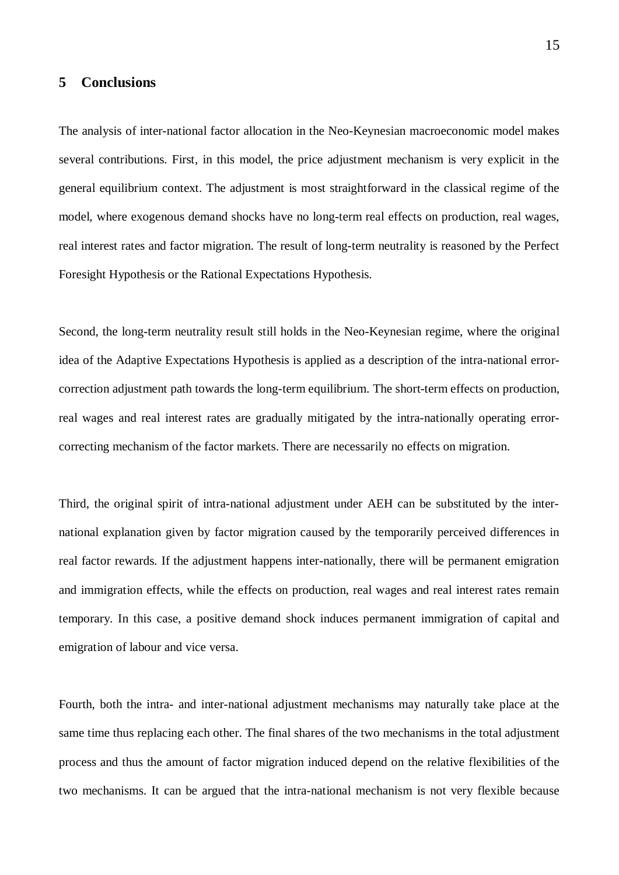## **5 Conclusions**

The analysis of inter-national factor allocation in the Neo-Keynesian macroeconomic model makes several contributions. First, in this model, the price adjustment mechanism is very explicit in the general equilibrium context. The adjustment is most straightforward in the classical regime of the model, where exogenous demand shocks have no long-term real effects on production, real wages, real interest rates and factor migration. The result of long-term neutrality is reasoned by the Perfect Foresight Hypothesis or the Rational Expectations Hypothesis.

Second, the long-term neutrality result still holds in the Neo-Keynesian regime, where the original idea of the Adaptive Expectations Hypothesis is applied as a description of the intra-national errorcorrection adjustment path towards the long-term equilibrium. The short-term effects on production, real wages and real interest rates are gradually mitigated by the intra-nationally operating errorcorrecting mechanism of the factor markets. There are necessarily no effects on migration.

Third, the original spirit of intra-national adjustment under AEH can be substituted by the international explanation given by factor migration caused by the temporarily perceived differences in real factor rewards. If the adjustment happens inter-nationally, there will be permanent emigration and immigration effects, while the effects on production, real wages and real interest rates remain temporary. In this case, a positive demand shock induces permanent immigration of capital and emigration of labour and vice versa.

Fourth, both the intra- and inter-national adjustment mechanisms may naturally take place at the same time thus replacing each other. The final shares of the two mechanisms in the total adjustment process and thus the amount of factor migration induced depend on the relative flexibilities of the two mechanisms. It can be argued that the intra-national mechanism is not very flexible because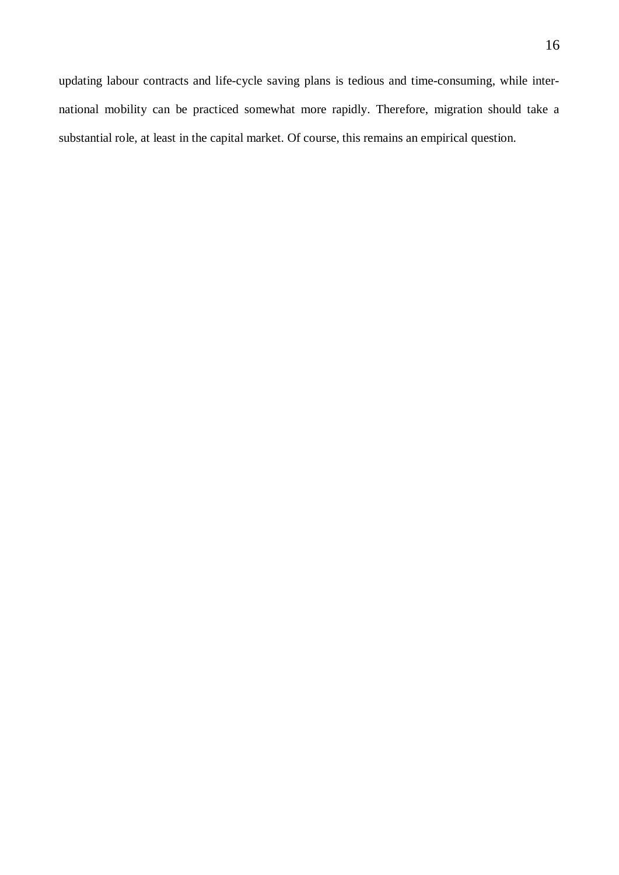updating labour contracts and life-cycle saving plans is tedious and time-consuming, while international mobility can be practiced somewhat more rapidly. Therefore, migration should take a substantial role, at least in the capital market. Of course, this remains an empirical question.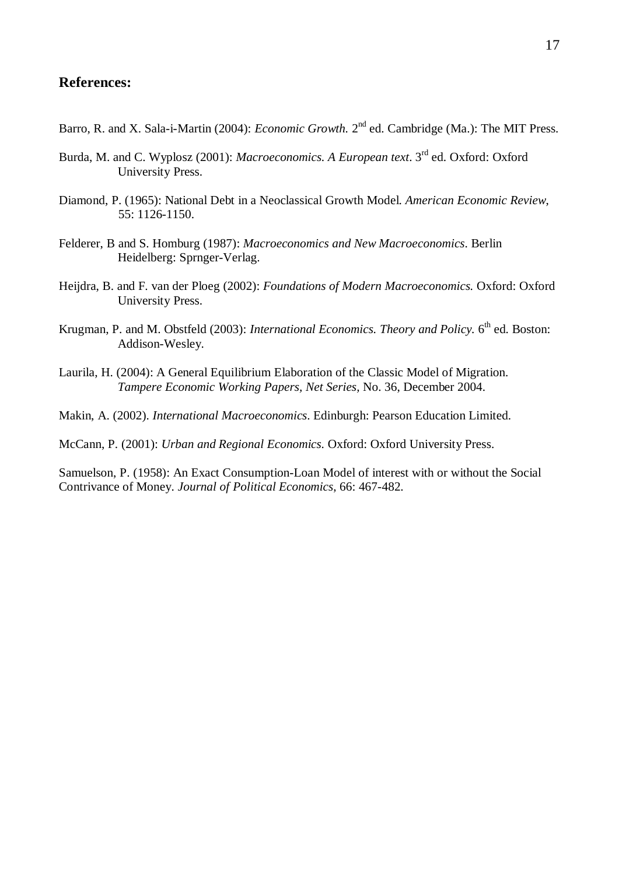## **References:**

- Barro, R. and X. Sala-i-Martin (2004): *Economic Growth*. 2<sup>nd</sup> ed. Cambridge (Ma.): The MIT Press.
- Burda, M. and C. Wyplosz (2001): *Macroeconomics. A European text*. 3rd ed. Oxford: Oxford University Press.
- Diamond, P. (1965): National Debt in a Neoclassical Growth Model. *American Economic Review*, 55: 1126-1150.
- Felderer, B and S. Homburg (1987): *Macroeconomics and New Macroeconomics*. Berlin Heidelberg: Sprnger-Verlag.
- Heijdra, B. and F. van der Ploeg (2002): *Foundations of Modern Macroeconomics.* Oxford: Oxford University Press.
- Krugman, P. and M. Obstfeld (2003): *International Economics. Theory and Policy*. 6<sup>th</sup> ed. Boston: Addison-Wesley.
- Laurila, H. (2004): A General Equilibrium Elaboration of the Classic Model of Migration. *Tampere Economic Working Papers, Net Series,* No. 36, December 2004.

Makin, A. (2002). *International Macroeconomics*. Edinburgh: Pearson Education Limited.

McCann, P. (2001): *Urban and Regional Economics.* Oxford: Oxford University Press.

Samuelson, P. (1958): An Exact Consumption-Loan Model of interest with or without the Social Contrivance of Money. *Journal of Political Economics*, 66: 467-482.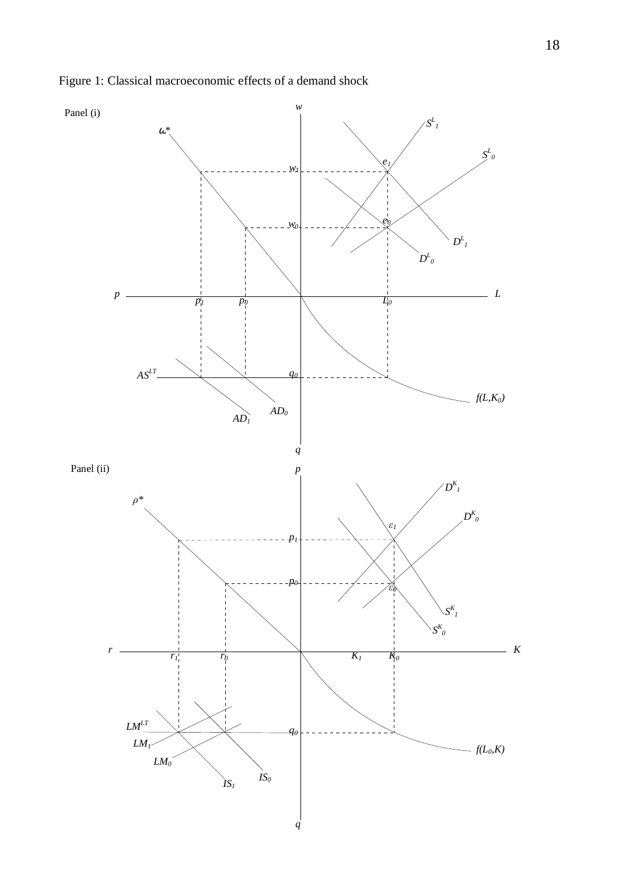

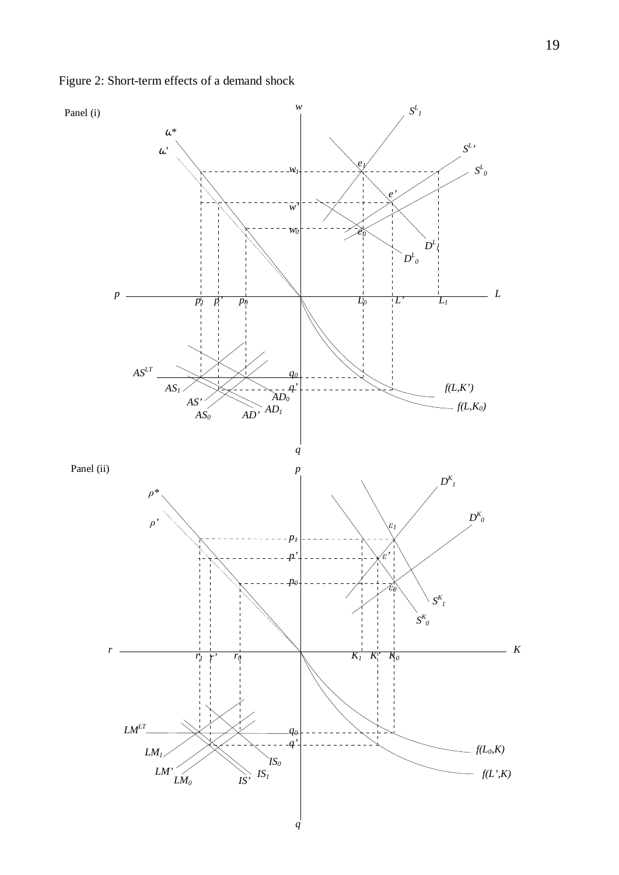Figure 2: Short-term effects of a demand shock